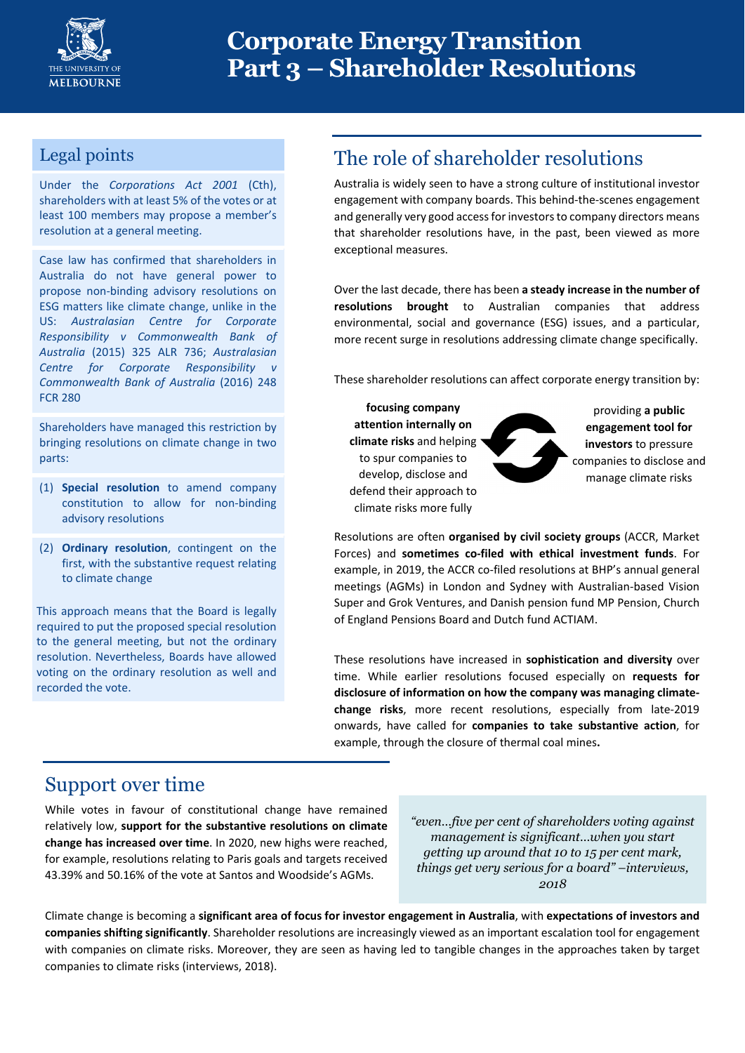

# **Corporate Energy Transition Part 3 – Shareholder Resolutions**

#### Legal points

Under the *Corporations Act 2001* (Cth), shareholders with at least 5% of the votes or at least 100 members may propose a member's resolution at a general meeting.

Case law has confirmed that shareholders in Australia do not have general power to propose non‐binding advisory resolutions on ESG matters like climate change, unlike in the US: *Australasian Centre for Corporate Responsibility v Commonwealth Bank of Australia* (2015) 325 ALR 736; *Australasian Centre for Corporate Responsibility v Commonwealth Bank of Australia* (2016) 248 FCR 280

Shareholders have managed this restriction by bringing resolutions on climate change in two parts:

- (1) **Special resolution** to amend company constitution to allow for non‐binding advisory resolutions
- (2) **Ordinary resolution**, contingent on the first, with the substantive request relating to climate change

This approach means that the Board is legally required to put the proposed special resolution to the general meeting, but not the ordinary resolution. Nevertheless, Boards have allowed voting on the ordinary resolution as well and recorded the vote.

## The role of shareholder resolutions

Australia is widely seen to have a strong culture of institutional investor engagement with company boards. This behind‐the‐scenes engagement and generally very good access for investors to company directors means that shareholder resolutions have, in the past, been viewed as more exceptional measures.

Over the last decade, there has been **a steady increase in the number of resolutions brought** to Australian companies that address environmental, social and governance (ESG) issues, and a particular, more recent surge in resolutions addressing climate change specifically.

These shareholder resolutions can affect corporate energy transition by:

**focusing company attention internally on climate risks** and helping to spur companies to develop, disclose and defend their approach to climate risks more fully

providing **a public engagement tool for investors** to pressure companies to disclose and manage climate risks

Resolutions are often **organised by civil society groups** (ACCR, Market Forces) and **sometimes co‐filed with ethical investment funds**. For example, in 2019, the ACCR co-filed resolutions at BHP's annual general meetings (AGMs) in London and Sydney with Australian‐based Vision Super and Grok Ventures, and Danish pension fund MP Pension, Church of England Pensions Board and Dutch fund ACTIAM.

These resolutions have increased in **sophistication and diversity** over time. While earlier resolutions focused especially on **requests for disclosure of information on how the company was managing climate‐ change risks**, more recent resolutions, especially from late‐2019 onwards, have called for **companies to take substantive action**, for example, through the closure of thermal coal mines**.**

#### Support over time

While votes in favour of constitutional change have remained relatively low, **support for the substantive resolutions on climate change has increased over time**. In 2020, new highs were reached, for example, resolutions relating to Paris goals and targets received 43.39% and 50.16% of the vote at Santos and Woodside's AGMs.

*"even…five per cent of shareholders voting against management is significant…when you start getting up around that 10 to 15 per cent mark, things get very serious for a board" –interviews, 2018* 

Climate change is becoming a **significant area of focus for investor engagement in Australia**, with **expectations of investors and companies shifting significantly**. Shareholder resolutions are increasingly viewed as an important escalation tool for engagement with companies on climate risks. Moreover, they are seen as having led to tangible changes in the approaches taken by target companies to climate risks (interviews, 2018).